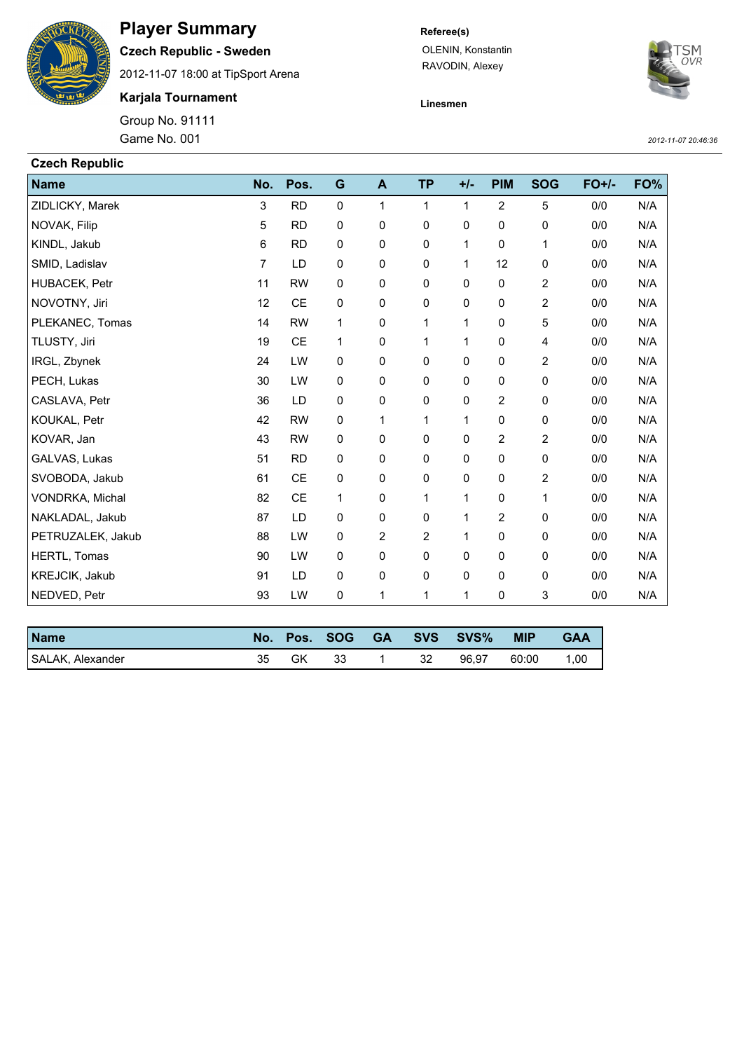

## **Player Summary**

**Czech Republic - Sweden**

2012-11-07 18:00 at TipSport Arena

**Karjala Tournament**

Group No. 91111

## **Referee(s)**

OLENIN, Konstantin RAVODIN, Alexey



**Linesmen**

Game No. 001 *2012-11-07 20:46:36*

| <b>Czech Republic</b> |     |           |           |              |           |       |                |                |         |     |
|-----------------------|-----|-----------|-----------|--------------|-----------|-------|----------------|----------------|---------|-----|
| <b>Name</b>           | No. | Pos.      | G         | $\mathbf{A}$ | <b>TP</b> | $+/-$ | <b>PIM</b>     | <b>SOG</b>     | $FO+/-$ | FO% |
| ZIDLICKY, Marek       | 3   | <b>RD</b> | 0         | 1            | 1         | 1     | $\overline{2}$ | 5              | 0/0     | N/A |
| NOVAK, Filip          | 5   | <b>RD</b> | 0         | 0            | 0         | 0     | 0              | 0              | 0/0     | N/A |
| KINDL, Jakub          | 6   | <b>RD</b> | 0         | 0            | 0         | 1     | 0              | 1              | 0/0     | N/A |
| SMID, Ladislav        | 7   | LD        | 0         | 0            | 0         | 1     | 12             | 0              | 0/0     | N/A |
| HUBACEK, Petr         | 11  | <b>RW</b> | $\pmb{0}$ | 0            | 0         | 0     | 0              | $\overline{2}$ | 0/0     | N/A |
| NOVOTNY, Jiri         | 12  | CE        | 0         | 0            | 0         | 0     | 0              | 2              | 0/0     | N/A |
| PLEKANEC, Tomas       | 14  | <b>RW</b> | 1         | 0            | 1         | 1     | 0              | 5              | 0/0     | N/A |
| TLUSTY, Jiri          | 19  | <b>CE</b> | 1         | 0            | 1         | 1     | 0              | 4              | 0/0     | N/A |
| IRGL, Zbynek          | 24  | LW        | 0         | 0            | 0         | 0     | 0              | 2              | 0/0     | N/A |
| PECH, Lukas           | 30  | LW        | 0         | 0            | 0         | 0     | 0              | 0              | 0/0     | N/A |
| CASLAVA, Petr         | 36  | LD        | 0         | 0            | 0         | 0     | 2              | 0              | 0/0     | N/A |
| KOUKAL, Petr          | 42  | <b>RW</b> | 0         | 1            | 1         | 1     | 0              | 0              | 0/0     | N/A |
| KOVAR, Jan            | 43  | <b>RW</b> | 0         | 0            | 0         | 0     | 2              | 2              | 0/0     | N/A |
| GALVAS, Lukas         | 51  | <b>RD</b> | 0         | 0            | 0         | 0     | 0              | 0              | 0/0     | N/A |
| SVOBODA, Jakub        | 61  | <b>CE</b> | 0         | 0            | 0         | 0     | 0              | 2              | 0/0     | N/A |
| VONDRKA, Michal       | 82  | <b>CE</b> | 1         | 0            | 1         | 1     | 0              | 1              | 0/0     | N/A |
| NAKLADAL, Jakub       | 87  | LD        | 0         | 0            | 0         | 1     | 2              | 0              | 0/0     | N/A |
| PETRUZALEK, Jakub     | 88  | LW        | 0         | 2            | 2         | 1     | 0              | 0              | 0/0     | N/A |
| HERTL, Tomas          | 90  | LW        | 0         | 0            | 0         | 0     | 0              | 0              | 0/0     | N/A |
| KREJCIK, Jakub        | 91  | LD        | $\pmb{0}$ | 0            | 0         | 0     | 0              | 0              | 0/0     | N/A |
| NEDVED, Petr          | 93  | LW        | 0         | 1            | 1         | 1     | 0              | 3              | 0/0     | N/A |

| <b>Name</b>      |     |    |     |     | No. Pos. SOG GA SVS SVS% | <b>MIP</b> | <b>GAA</b> |
|------------------|-----|----|-----|-----|--------------------------|------------|------------|
| SALAK, Alexander | 35. | GK | -33 | -32 | 96.97                    | 60:00      | 1.00       |